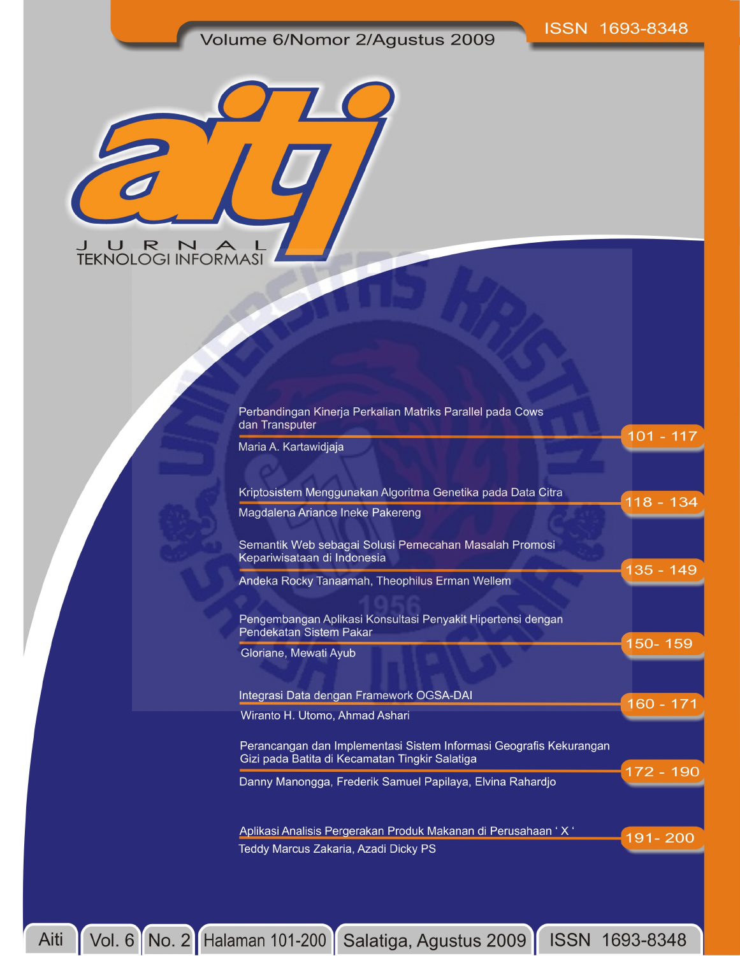## Volume 6/Nomor 2/Agustus 2009



| Maria A. Kartawidjaja                                                                                                |             |
|----------------------------------------------------------------------------------------------------------------------|-------------|
| Kriptosistem Menggunakan Algoritma Genetika pada Data Citra                                                          | 118 - 134   |
| Magdalena Ariance Ineke Pakereng                                                                                     |             |
| Semantik Web sebagai Solusi Pemecahan Masalah Promosi<br>Kepariwisataan di Indonesia                                 |             |
| Andeka Rocky Tanaamah, Theophilus Erman Wellem                                                                       | 135 - 149   |
| Pengembangan Aplikasi Konsultasi Penyakit Hipertensi dengan<br>Pendekatan Sistem Pakar                               |             |
| Gloriane, Mewati Ayub                                                                                                | 150-159     |
| Integrasi Data dengan Framework OGSA-DAI                                                                             | $160 - 171$ |
| Wiranto H. Utomo, Ahmad Ashari                                                                                       |             |
| Perancangan dan Implementasi Sistem Informasi Geografis Kekurangan<br>Gizi pada Batita di Kecamatan Tingkir Salatiga |             |
| Danny Manongga, Frederik Samuel Papilaya, Elvina Rahardjo                                                            | 172 - 190   |
| Aplikasi Analisis Pergerakan Produk Makanan di Perusahaan ' X '                                                      | 191-200     |
| Teddy Marcus Zakaria, Azadi Dicky PS                                                                                 |             |

Vol. 6 No. 2 Halaman 101-200 Salatiga, Agustus 2009 ISSN 1693-8348 Aiti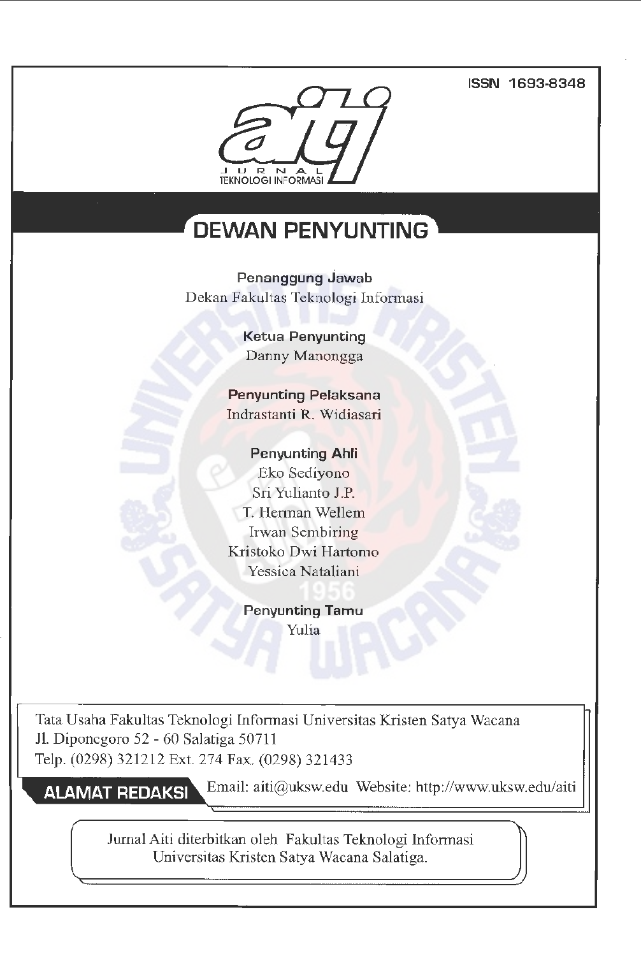### **ISSN 1693-8348**



# **DEWAN PENYUNTING**

**Penanggung Jawab**  Dekan Fakultas Teknologi Informasi

> **Ketua Penyunting**  Danny Manongga

**Penyunting Pelaksana**  Indrastanti R. Widiasari

**Penyunting Ahli**  Eko Sediyono Sri Yulianto J.P. T. Herman Wellem Irwan Sembiring Kristoko Dwi Hartomo Yessica Nataliani

> **Penyunting Tamu** Yulia

Tata Usaha Fakultas Teknologi Infotmasi Universitas Kristen Satya Wacana Jl. Diponegoro 52 - 60 Salatiga 50711 Telp. (0298) 321212 Ext. 274 Fax. (0298) 321433

**ALAMAT REDAKSI** 

Email: aiti@uksw.edu Website: http://www.uksw.edu/aiti

Jurnal.Aiti diterbitkan oleh Fakultas Teknologi Informasi Universitas Kristen Satya Wacana Salatiga.